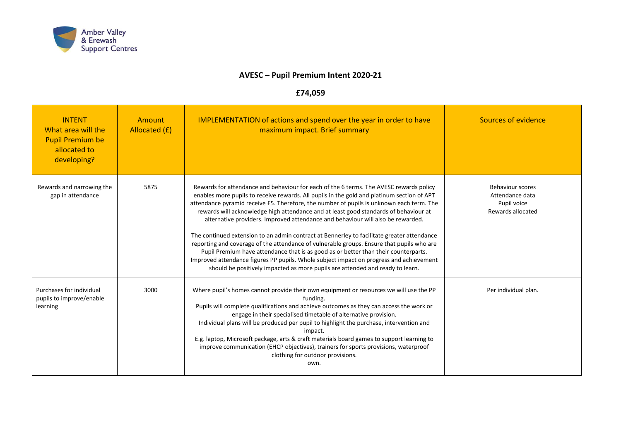

## **AVESC – Pupil Premium Intent 2020-21**

## **£74,059**

| <b>INTENT</b><br>What area will the<br><b>Pupil Premium be</b><br>allocated to<br>developing? | Amount<br>Allocated (£) | <b>IMPLEMENTATION of actions and spend over the year in order to have</b><br>maximum impact. Brief summary                                                                                                                                                                                                                                                                                                                                                                                                                                                                                                                                                                                                                                                                                                                                                                                                                | Sources of evidence                                                            |
|-----------------------------------------------------------------------------------------------|-------------------------|---------------------------------------------------------------------------------------------------------------------------------------------------------------------------------------------------------------------------------------------------------------------------------------------------------------------------------------------------------------------------------------------------------------------------------------------------------------------------------------------------------------------------------------------------------------------------------------------------------------------------------------------------------------------------------------------------------------------------------------------------------------------------------------------------------------------------------------------------------------------------------------------------------------------------|--------------------------------------------------------------------------------|
| Rewards and narrowing the<br>gap in attendance                                                | 5875                    | Rewards for attendance and behaviour for each of the 6 terms. The AVESC rewards policy<br>enables more pupils to receive rewards. All pupils in the gold and platinum section of APT<br>attendance pyramid receive £5. Therefore, the number of pupils is unknown each term. The<br>rewards will acknowledge high attendance and at least good standards of behaviour at<br>alternative providers. Improved attendance and behaviour will also be rewarded.<br>The continued extension to an admin contract at Bennerley to facilitate greater attendance<br>reporting and coverage of the attendance of vulnerable groups. Ensure that pupils who are<br>Pupil Premium have attendance that is as good as or better than their counterparts.<br>Improved attendance figures PP pupils. Whole subject impact on progress and achievement<br>should be positively impacted as more pupils are attended and ready to learn. | <b>Behaviour scores</b><br>Attendance data<br>Pupil voice<br>Rewards allocated |
| Purchases for individual<br>pupils to improve/enable<br>learning                              | 3000                    | Where pupil's homes cannot provide their own equipment or resources we will use the PP<br>funding.<br>Pupils will complete qualifications and achieve outcomes as they can access the work or<br>engage in their specialised timetable of alternative provision.<br>Individual plans will be produced per pupil to highlight the purchase, intervention and<br>impact.<br>E.g. laptop, Microsoft package, arts & craft materials board games to support learning to<br>improve communication (EHCP objectives), trainers for sports provisions, waterproof<br>clothing for outdoor provisions.<br>own.                                                                                                                                                                                                                                                                                                                    | Per individual plan.                                                           |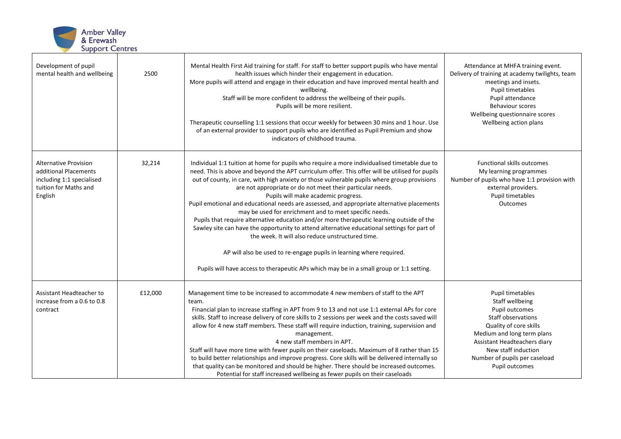

| Development of pupil<br>mental health and wellbeing                                                                    | 2500    | Mental Health First Aid training for staff. For staff to better support pupils who have mental<br>health issues which hinder their engagement in education.<br>More pupils will attend and engage in their education and have improved mental health and<br>wellbeing.<br>Staff will be more confident to address the wellbeing of their pupils.<br>Pupils will be more resilient.<br>Therapeutic counselling 1:1 sessions that occur weekly for between 30 mins and 1 hour. Use<br>of an external provider to support pupils who are identified as Pupil Premium and show<br>indicators of childhood trauma.                                                                                                                                                                                                                                                                                                                                                                   | Attendance at MHFA training event.<br>Delivery of training at academy twilights, team<br>meetings and insets.<br>Pupil timetables<br>Pupil attendance<br><b>Behaviour scores</b><br>Wellbeing questionnaire scores<br>Wellbeing action plans  |
|------------------------------------------------------------------------------------------------------------------------|---------|---------------------------------------------------------------------------------------------------------------------------------------------------------------------------------------------------------------------------------------------------------------------------------------------------------------------------------------------------------------------------------------------------------------------------------------------------------------------------------------------------------------------------------------------------------------------------------------------------------------------------------------------------------------------------------------------------------------------------------------------------------------------------------------------------------------------------------------------------------------------------------------------------------------------------------------------------------------------------------|-----------------------------------------------------------------------------------------------------------------------------------------------------------------------------------------------------------------------------------------------|
| <b>Alternative Provision</b><br>additional Placements<br>including 1:1 specialised<br>tuition for Maths and<br>English | 32,214  | Individual 1:1 tuition at home for pupils who require a more individualised timetable due to<br>need. This is above and beyond the APT curriculum offer. This offer will be utilised for pupils<br>out of county, in care, with high anxiety or those vulnerable pupils where group provisions<br>are not appropriate or do not meet their particular needs.<br>Pupils will make academic progress.<br>Pupil emotional and educational needs are assessed, and appropriate alternative placements<br>may be used for enrichment and to meet specific needs.<br>Pupils that require alternative education and/or more therapeutic learning outside of the<br>Sawley site can have the opportunity to attend alternative educational settings for part of<br>the week. It will also reduce unstructured time.<br>AP will also be used to re-engage pupils in learning where required.<br>Pupils will have access to therapeutic APs which may be in a small group or 1:1 setting. | Functional skills outcomes<br>My learning programmes<br>Number of pupils who have 1:1 provision with<br>external providers.<br>Pupil timetables<br>Outcomes                                                                                   |
| Assistant Headteacher to<br>increase from a 0.6 to 0.8<br>contract                                                     | £12,000 | Management time to be increased to accommodate 4 new members of staff to the APT<br>team.<br>Financial plan to increase staffing in APT from 9 to 13 and not use 1:1 external APs for core<br>skills. Staff to increase delivery of core skills to 2 sessions per week and the costs saved will<br>allow for 4 new staff members. These staff will require induction, training, supervision and<br>management.<br>4 new staff members in APT.<br>Staff will have more time with fewer pupils on their caseloads. Maximum of 8 rather than 15<br>to build better relationships and improve progress. Core skills will be delivered internally so<br>that quality can be monitored and should be higher. There should be increased outcomes.<br>Potential for staff increased wellbeing as fewer pupils on their caseloads                                                                                                                                                        | Pupil timetables<br>Staff wellbeing<br>Pupil outcomes<br>Staff observations<br>Quality of core skills<br>Medium and long term plans<br>Assistant Headteachers diary<br>New staff induction<br>Number of pupils per caseload<br>Pupil outcomes |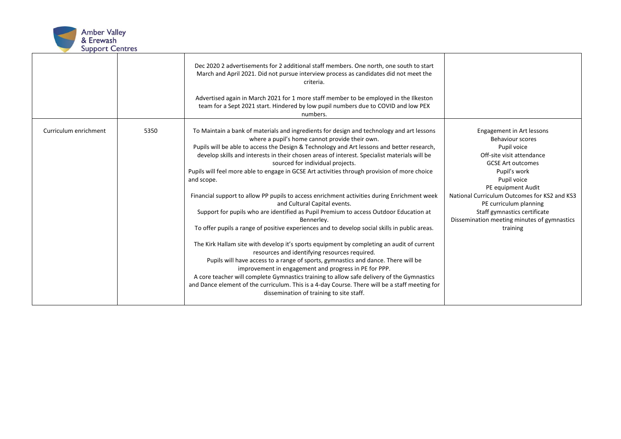

|                       |      | Dec 2020 2 advertisements for 2 additional staff members. One north, one south to start<br>March and April 2021. Did not pursue interview process as candidates did not meet the<br>criteria.<br>Advertised again in March 2021 for 1 more staff member to be employed in the Ilkeston<br>team for a Sept 2021 start. Hindered by low pupil numbers due to COVID and low PEX<br>numbers.                                                                                                                                                                                                                                                                                                                                                                                                                                                                                                                                                                                                                                                                                                                                                                                                                                                                                                                                                                                  |                                                                                                                                                                                                                                                                                                                                                 |
|-----------------------|------|---------------------------------------------------------------------------------------------------------------------------------------------------------------------------------------------------------------------------------------------------------------------------------------------------------------------------------------------------------------------------------------------------------------------------------------------------------------------------------------------------------------------------------------------------------------------------------------------------------------------------------------------------------------------------------------------------------------------------------------------------------------------------------------------------------------------------------------------------------------------------------------------------------------------------------------------------------------------------------------------------------------------------------------------------------------------------------------------------------------------------------------------------------------------------------------------------------------------------------------------------------------------------------------------------------------------------------------------------------------------------|-------------------------------------------------------------------------------------------------------------------------------------------------------------------------------------------------------------------------------------------------------------------------------------------------------------------------------------------------|
| Curriculum enrichment | 5350 | To Maintain a bank of materials and ingredients for design and technology and art lessons<br>where a pupil's home cannot provide their own.<br>Pupils will be able to access the Design & Technology and Art lessons and better research,<br>develop skills and interests in their chosen areas of interest. Specialist materials will be<br>sourced for individual projects.<br>Pupils will feel more able to engage in GCSE Art activities through provision of more choice<br>and scope.<br>Financial support to allow PP pupils to access enrichment activities during Enrichment week<br>and Cultural Capital events.<br>Support for pupils who are identified as Pupil Premium to access Outdoor Education at<br>Bennerley.<br>To offer pupils a range of positive experiences and to develop social skills in public areas.<br>The Kirk Hallam site with develop it's sports equipment by completing an audit of current<br>resources and identifying resources required.<br>Pupils will have access to a range of sports, gymnastics and dance. There will be<br>improvement in engagement and progress in PE for PPP.<br>A core teacher will complete Gymnastics training to allow safe delivery of the Gymnastics<br>and Dance element of the curriculum. This is a 4-day Course. There will be a staff meeting for<br>dissemination of training to site staff. | Engagement in Art lessons<br>Behaviour scores<br>Pupil voice<br>Off-site visit attendance<br><b>GCSE Art outcomes</b><br>Pupil's work<br>Pupil voice<br>PE equipment Audit<br>National Curriculum Outcomes for KS2 and KS3<br>PE curriculum planning<br>Staff gymnastics certificate<br>Dissemination meeting minutes of gymnastics<br>training |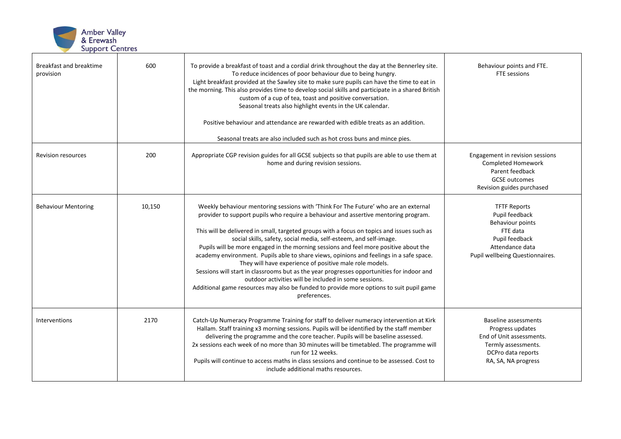

| Breakfast and breaktime<br>provision | 600    | To provide a breakfast of toast and a cordial drink throughout the day at the Bennerley site.<br>To reduce incidences of poor behaviour due to being hungry.<br>Light breakfast provided at the Sawley site to make sure pupils can have the time to eat in<br>the morning. This also provides time to develop social skills and participate in a shared British<br>custom of a cup of tea, toast and positive conversation.<br>Seasonal treats also highlight events in the UK calendar.<br>Positive behaviour and attendance are rewarded with edible treats as an addition.<br>Seasonal treats are also included such as hot cross buns and mince pies.                                                                                                                                                                                                   | Behaviour points and FTE.<br>FTE sessions                                                                                                       |
|--------------------------------------|--------|--------------------------------------------------------------------------------------------------------------------------------------------------------------------------------------------------------------------------------------------------------------------------------------------------------------------------------------------------------------------------------------------------------------------------------------------------------------------------------------------------------------------------------------------------------------------------------------------------------------------------------------------------------------------------------------------------------------------------------------------------------------------------------------------------------------------------------------------------------------|-------------------------------------------------------------------------------------------------------------------------------------------------|
| <b>Revision resources</b>            | 200    | Appropriate CGP revision guides for all GCSE subjects so that pupils are able to use them at<br>home and during revision sessions.                                                                                                                                                                                                                                                                                                                                                                                                                                                                                                                                                                                                                                                                                                                           | Engagement in revision sessions<br>Completed Homework<br>Parent feedback<br><b>GCSE</b> outcomes<br>Revision guides purchased                   |
| <b>Behaviour Mentoring</b>           | 10,150 | Weekly behaviour mentoring sessions with 'Think For The Future' who are an external<br>provider to support pupils who require a behaviour and assertive mentoring program.<br>This will be delivered in small, targeted groups with a focus on topics and issues such as<br>social skills, safety, social media, self-esteem, and self-image.<br>Pupils will be more engaged in the morning sessions and feel more positive about the<br>academy environment. Pupils able to share views, opinions and feelings in a safe space.<br>They will have experience of positive male role models.<br>Sessions will start in classrooms but as the year progresses opportunities for indoor and<br>outdoor activities will be included in some sessions.<br>Additional game resources may also be funded to provide more options to suit pupil game<br>preferences. | <b>TFTF Reports</b><br>Pupil feedback<br>Behaviour points<br>FTE data<br>Pupil feedback<br>Attendance data<br>Pupil wellbeing Questionnaires.   |
| Interventions                        | 2170   | Catch-Up Numeracy Programme Training for staff to deliver numeracy intervention at Kirk<br>Hallam. Staff training x3 morning sessions. Pupils will be identified by the staff member<br>delivering the programme and the core teacher. Pupils will be baseline assessed.<br>2x sessions each week of no more than 30 minutes will be timetabled. The programme will<br>run for 12 weeks.<br>Pupils will continue to access maths in class sessions and continue to be assessed. Cost to<br>include additional maths resources.                                                                                                                                                                                                                                                                                                                               | <b>Baseline assessments</b><br>Progress updates<br>End of Unit assessments.<br>Termly assessments.<br>DCPro data reports<br>RA, SA, NA progress |